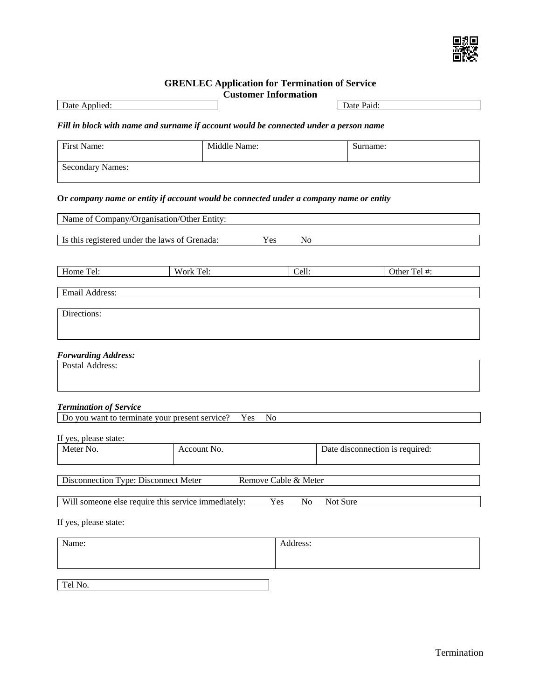

# **GRENLEC Application for Termination of Service**

|                                                                                        | <b>Customer Information</b> |                      |          |            |                                 |  |
|----------------------------------------------------------------------------------------|-----------------------------|----------------------|----------|------------|---------------------------------|--|
| Date Applied:                                                                          |                             |                      |          | Date Paid: |                                 |  |
| Fill in block with name and surname if account would be connected under a person name  |                             |                      |          |            |                                 |  |
| First Name:                                                                            | Middle Name:                |                      |          | Surname:   |                                 |  |
| <b>Secondary Names:</b>                                                                |                             |                      |          |            |                                 |  |
| Or company name or entity if account would be connected under a company name or entity |                             |                      |          |            |                                 |  |
| Name of Company/Organisation/Other Entity:                                             |                             |                      |          |            |                                 |  |
| Is this registered under the laws of Grenada:                                          | Yes                         | N <sub>o</sub>       |          |            |                                 |  |
|                                                                                        |                             |                      |          |            |                                 |  |
| Home Tel:                                                                              | Work Tel:                   | Cell:                |          |            | Other Tel #:                    |  |
| Email Address:                                                                         |                             |                      |          |            |                                 |  |
| Directions:                                                                            |                             |                      |          |            |                                 |  |
|                                                                                        |                             |                      |          |            |                                 |  |
| <b>Forwarding Address:</b>                                                             |                             |                      |          |            |                                 |  |
| Postal Address:                                                                        |                             |                      |          |            |                                 |  |
|                                                                                        |                             |                      |          |            |                                 |  |
| <b>Termination of Service</b>                                                          |                             |                      |          |            |                                 |  |
| Do you want to terminate your present service?                                         | Yes<br>N <sub>o</sub>       |                      |          |            |                                 |  |
| If yes, please state:                                                                  |                             |                      |          |            |                                 |  |
| Meter No.                                                                              | Account No.                 |                      |          |            | Date disconnection is required: |  |
|                                                                                        |                             |                      |          |            |                                 |  |
| Disconnection Type: Disconnect Meter                                                   |                             | Remove Cable & Meter |          |            |                                 |  |
| Will someone else require this service immediately:                                    |                             | Yes<br>No            | Not Sure |            |                                 |  |
| If yes, please state:                                                                  |                             |                      |          |            |                                 |  |
| Name:                                                                                  |                             | Address:             |          |            |                                 |  |
|                                                                                        |                             |                      |          |            |                                 |  |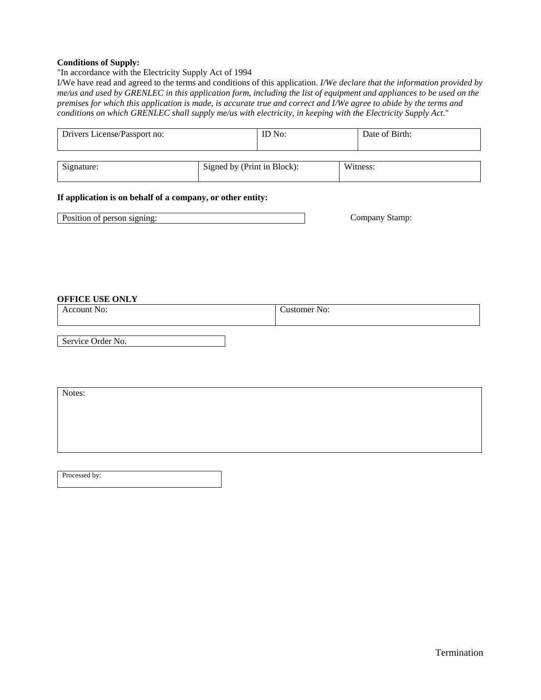## **Conditions of Supply:**

"In accordance with the Electricity Supply Act of 1994

I/We have read and agreed to the terms and conditions of this application. *I/We declare that the information provided by me/us and used by GRENLEC in this application form, including the list of equipment and appliances to be used on the premises for which this application is made, is accurate true and correct and I/We agree to abide by the terms and conditions on which GRENLEC shall supply me/us with electricity, in keeping with the Electricity Supply Act.*"

| Drivers License/Passport no: |                             | ID No: | Date of Birth: |
|------------------------------|-----------------------------|--------|----------------|
|                              |                             |        |                |
| Signature:                   | Signed by (Print in Block): |        | Witness:       |

## **If application is on behalf of a company, or other entity:**

| Position of person signing: | ompany<br>Stamp |
|-----------------------------|-----------------|
|-----------------------------|-----------------|

#### **OFFICE USE ONLY**

| - <del>-</del> - - - - - - - - - - - -<br>. | No:<br>ount | - -<br>stomer No:<br>nat. |
|---------------------------------------------|-------------|---------------------------|
|---------------------------------------------|-------------|---------------------------|

Service Order No.

Notes:

Processed by: